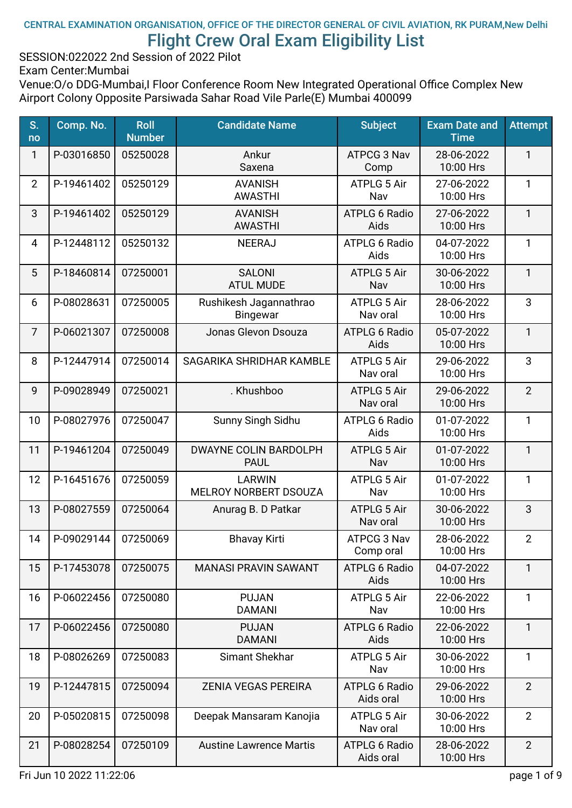#### CENTRAL EXAMINATION ORGANISATION, OFFICE OF THE DIRECTOR GENERAL OF CIVIL AVIATION, RK PURAM,New Delhi Flight Crew Oral Exam Eligibility List

SESSION:022022 2nd Session of 2022 Pilot

Exam Center:Mumbai

| S.<br>no       | Comp. No.  | <b>Roll</b><br><b>Number</b> | <b>Candidate Name</b>                       | <b>Subject</b>                    | <b>Exam Date and</b><br><b>Time</b> | <b>Attempt</b> |
|----------------|------------|------------------------------|---------------------------------------------|-----------------------------------|-------------------------------------|----------------|
| 1              | P-03016850 | 05250028                     | Ankur<br>Saxena                             | ATPCG 3 Nav<br>Comp               | 28-06-2022<br>10:00 Hrs             | $\mathbf{1}$   |
| $\overline{2}$ | P-19461402 | 05250129                     | <b>AVANISH</b><br><b>AWASTHI</b>            | ATPLG 5 Air<br>Nav                | 27-06-2022<br>10:00 Hrs             | 1              |
| 3              | P-19461402 | 05250129                     | <b>AVANISH</b><br><b>AWASTHI</b>            | <b>ATPLG 6 Radio</b><br>Aids      | 27-06-2022<br>10:00 Hrs             | $\mathbf{1}$   |
| 4              | P-12448112 | 05250132                     | <b>NEERAJ</b>                               | <b>ATPLG 6 Radio</b><br>Aids      | 04-07-2022<br>10:00 Hrs             | $\mathbf{1}$   |
| 5              | P-18460814 | 07250001                     | <b>SALONI</b><br><b>ATUL MUDE</b>           | ATPLG 5 Air<br>Nav                | 30-06-2022<br>10:00 Hrs             | $\mathbf{1}$   |
| 6              | P-08028631 | 07250005                     | Rushikesh Jagannathrao<br>Bingewar          | <b>ATPLG 5 Air</b><br>Nav oral    | 28-06-2022<br>10:00 Hrs             | 3              |
| $\overline{7}$ | P-06021307 | 07250008                     | Jonas Glevon Dsouza                         | <b>ATPLG 6 Radio</b><br>Aids      | 05-07-2022<br>10:00 Hrs             | $\mathbf{1}$   |
| 8              | P-12447914 | 07250014                     | SAGARIKA SHRIDHAR KAMBLE                    | ATPLG 5 Air<br>Nav oral           | 29-06-2022<br>10:00 Hrs             | 3              |
| 9              | P-09028949 | 07250021                     | . Khushboo                                  | ATPLG 5 Air<br>Nav oral           | 29-06-2022<br>10:00 Hrs             | $\overline{2}$ |
| 10             | P-08027976 | 07250047                     | Sunny Singh Sidhu                           | <b>ATPLG 6 Radio</b><br>Aids      | 01-07-2022<br>10:00 Hrs             | $\mathbf{1}$   |
| 11             | P-19461204 | 07250049                     | <b>DWAYNE COLIN BARDOLPH</b><br><b>PAUL</b> | <b>ATPLG 5 Air</b><br>Nav         | 01-07-2022<br>10:00 Hrs             | $\mathbf{1}$   |
| 12             | P-16451676 | 07250059                     | <b>LARWIN</b><br>MELROY NORBERT DSOUZA      | ATPLG 5 Air<br>Nav                | 01-07-2022<br>10:00 Hrs             | 1              |
| 13             | P-08027559 | 07250064                     | Anurag B. D Patkar                          | <b>ATPLG 5 Air</b><br>Nav oral    | 30-06-2022<br>10:00 Hrs             | 3              |
| 14             | P-09029144 | 07250069                     | <b>Bhavay Kirti</b>                         | ATPCG 3 Nav<br>Comp oral          | 28-06-2022<br>10:00 Hrs             | $\overline{2}$ |
| 15             | P-17453078 | 07250075                     | <b>MANASI PRAVIN SAWANT</b>                 | <b>ATPLG 6 Radio</b><br>Aids      | 04-07-2022<br>10:00 Hrs             | 1              |
| 16             | P-06022456 | 07250080                     | <b>PUJAN</b><br><b>DAMANI</b>               | ATPLG 5 Air<br>Nav                | 22-06-2022<br>10:00 Hrs             | $\mathbf{1}$   |
| 17             | P-06022456 | 07250080                     | <b>PUJAN</b><br><b>DAMANI</b>               | <b>ATPLG 6 Radio</b><br>Aids      | 22-06-2022<br>10:00 Hrs             | $\mathbf{1}$   |
| 18             | P-08026269 | 07250083                     | Simant Shekhar                              | ATPLG 5 Air<br>Nav                | 30-06-2022<br>10:00 Hrs             | 1              |
| 19             | P-12447815 | 07250094                     | <b>ZENIA VEGAS PEREIRA</b>                  | <b>ATPLG 6 Radio</b><br>Aids oral | 29-06-2022<br>10:00 Hrs             | $\overline{2}$ |
| 20             | P-05020815 | 07250098                     | Deepak Mansaram Kanojia                     | <b>ATPLG 5 Air</b><br>Nav oral    | 30-06-2022<br>10:00 Hrs             | $\overline{2}$ |
| 21             | P-08028254 | 07250109                     | <b>Austine Lawrence Martis</b>              | <b>ATPLG 6 Radio</b><br>Aids oral | 28-06-2022<br>10:00 Hrs             | $\overline{2}$ |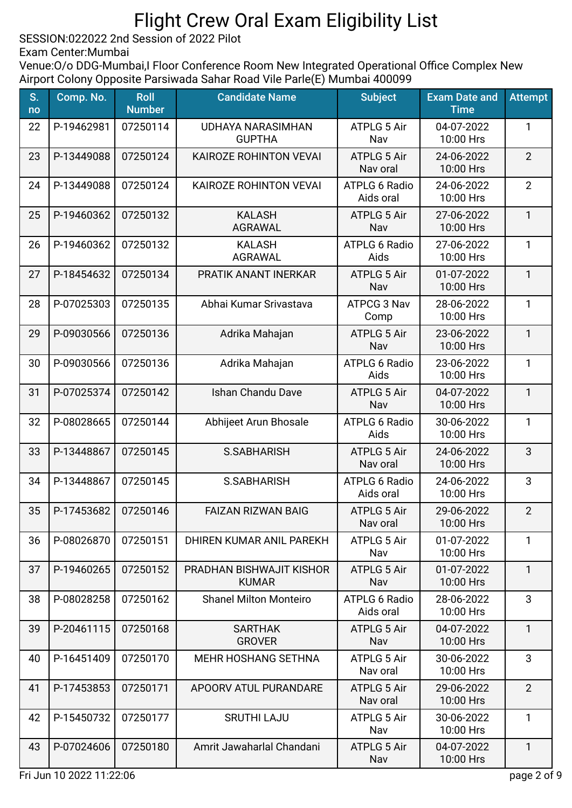SESSION:022022 2nd Session of 2022 Pilot

Exam Center:Mumbai

Venue: O/o DDG-Mumbai, I Floor Conference Room New Integrated Operational Office Complex New Airport Colony Opposite Parsiwada Sahar Road Vile Parle(E) Mumbai 400099

| S.<br>no | Comp. No.  | <b>Roll</b><br><b>Number</b> | <b>Candidate Name</b>                     | <b>Subject</b>                    | <b>Exam Date and</b><br><b>Time</b> | <b>Attempt</b> |
|----------|------------|------------------------------|-------------------------------------------|-----------------------------------|-------------------------------------|----------------|
| 22       | P-19462981 | 07250114                     | <b>UDHAYA NARASIMHAN</b><br><b>GUPTHA</b> | <b>ATPLG 5 Air</b><br>Nav         | 04-07-2022<br>10:00 Hrs             | 1              |
| 23       | P-13449088 | 07250124                     | KAIROZE ROHINTON VEVAL                    | <b>ATPLG 5 Air</b><br>Nav oral    | 24-06-2022<br>10:00 Hrs             | 2              |
| 24       | P-13449088 | 07250124                     | KAIROZE ROHINTON VEVAI                    | <b>ATPLG 6 Radio</b><br>Aids oral | 24-06-2022<br>10:00 Hrs             | $\overline{2}$ |
| 25       | P-19460362 | 07250132                     | <b>KALASH</b><br><b>AGRAWAL</b>           | <b>ATPLG 5 Air</b><br>Nav         | 27-06-2022<br>10:00 Hrs             | $\mathbf{1}$   |
| 26       | P-19460362 | 07250132                     | <b>KALASH</b><br><b>AGRAWAL</b>           | <b>ATPLG 6 Radio</b><br>Aids      | 27-06-2022<br>10:00 Hrs             | $\mathbf{1}$   |
| 27       | P-18454632 | 07250134                     | PRATIK ANANT INERKAR                      | <b>ATPLG 5 Air</b><br>Nav         | 01-07-2022<br>10:00 Hrs             | $\mathbf{1}$   |
| 28       | P-07025303 | 07250135                     | Abhai Kumar Srivastava                    | ATPCG 3 Nav<br>Comp               | 28-06-2022<br>10:00 Hrs             | 1              |
| 29       | P-09030566 | 07250136                     | Adrika Mahajan                            | <b>ATPLG 5 Air</b><br>Nav         | 23-06-2022<br>10:00 Hrs             | $\mathbf{1}$   |
| 30       | P-09030566 | 07250136                     | Adrika Mahajan                            | <b>ATPLG 6 Radio</b><br>Aids      | 23-06-2022<br>10:00 Hrs             | 1              |
| 31       | P-07025374 | 07250142                     | Ishan Chandu Dave                         | ATPLG 5 Air<br>Nav                | 04-07-2022<br>10:00 Hrs             | $\mathbf{1}$   |
| 32       | P-08028665 | 07250144                     | Abhijeet Arun Bhosale                     | <b>ATPLG 6 Radio</b><br>Aids      | 30-06-2022<br>10:00 Hrs             | $\mathbf{1}$   |
| 33       | P-13448867 | 07250145                     | S.SABHARISH                               | <b>ATPLG 5 Air</b><br>Nav oral    | 24-06-2022<br>10:00 Hrs             | 3              |
| 34       | P-13448867 | 07250145                     | <b>S.SABHARISH</b>                        | <b>ATPLG 6 Radio</b><br>Aids oral | 24-06-2022<br>10:00 Hrs             | 3              |
| 35       | P-17453682 | 07250146                     | <b>FAIZAN RIZWAN BAIG</b>                 | <b>ATPLG 5 Air</b><br>Nav oral    | 29-06-2022<br>10:00 Hrs             | $\overline{2}$ |
| 36       | P-08026870 | 07250151                     | DHIREN KUMAR ANIL PAREKH                  | <b>ATPLG 5 Air</b><br>Nav         | 01-07-2022<br>10:00 Hrs             | 1              |
| 37       | P-19460265 | 07250152                     | PRADHAN BISHWAJIT KISHOR<br><b>KUMAR</b>  | <b>ATPLG 5 Air</b><br>Nav         | 01-07-2022<br>10:00 Hrs             | $\mathbf{1}$   |
| 38       | P-08028258 | 07250162                     | <b>Shanel Milton Monteiro</b>             | <b>ATPLG 6 Radio</b><br>Aids oral | 28-06-2022<br>10:00 Hrs             | 3              |
| 39       | P-20461115 | 07250168                     | <b>SARTHAK</b><br><b>GROVER</b>           | <b>ATPLG 5 Air</b><br>Nav         | 04-07-2022<br>10:00 Hrs             | $\mathbf{1}$   |
| 40       | P-16451409 | 07250170                     | <b>MEHR HOSHANG SETHNA</b>                | ATPLG 5 Air<br>Nav oral           | 30-06-2022<br>10:00 Hrs             | 3              |
| 41       | P-17453853 | 07250171                     | APOORV ATUL PURANDARE                     | <b>ATPLG 5 Air</b><br>Nav oral    | 29-06-2022<br>10:00 Hrs             | $\overline{2}$ |
| 42       | P-15450732 | 07250177                     | <b>SRUTHI LAJU</b>                        | ATPLG 5 Air<br>Nav                | 30-06-2022<br>10:00 Hrs             | $\mathbf{1}$   |
| 43       | P-07024606 | 07250180                     | Amrit Jawaharlal Chandani                 | <b>ATPLG 5 Air</b><br>Nav         | 04-07-2022<br>10:00 Hrs             | $\mathbf{1}$   |

Fri Jun 10 2022 11:22:06 page 2 of 9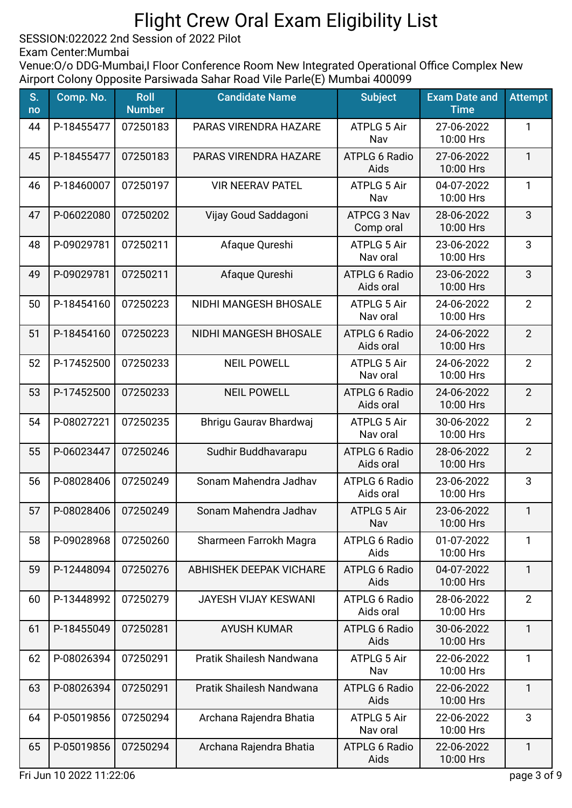SESSION:022022 2nd Session of 2022 Pilot

Exam Center:Mumbai

| S.<br>no | Comp. No.  | <b>Roll</b><br><b>Number</b> | <b>Candidate Name</b>          | <b>Subject</b>                    | <b>Exam Date and</b><br><b>Time</b> | <b>Attempt</b> |
|----------|------------|------------------------------|--------------------------------|-----------------------------------|-------------------------------------|----------------|
| 44       | P-18455477 | 07250183                     | PARAS VIRENDRA HAZARE          | <b>ATPLG 5 Air</b><br>Nav         | 27-06-2022<br>10:00 Hrs             | 1              |
| 45       | P-18455477 | 07250183                     | PARAS VIRENDRA HAZARE          | <b>ATPLG 6 Radio</b><br>Aids      | 27-06-2022<br>10:00 Hrs             | $\mathbf{1}$   |
| 46       | P-18460007 | 07250197                     | <b>VIR NEERAV PATEL</b>        | ATPLG 5 Air<br>Nav                | 04-07-2022<br>10:00 Hrs             | 1              |
| 47       | P-06022080 | 07250202                     | Vijay Goud Saddagoni           | <b>ATPCG 3 Nav</b><br>Comp oral   | 28-06-2022<br>10:00 Hrs             | 3              |
| 48       | P-09029781 | 07250211                     | Afaque Qureshi                 | ATPLG 5 Air<br>Nav oral           | 23-06-2022<br>10:00 Hrs             | 3              |
| 49       | P-09029781 | 07250211                     | Afaque Qureshi                 | <b>ATPLG 6 Radio</b><br>Aids oral | 23-06-2022<br>10:00 Hrs             | 3              |
| 50       | P-18454160 | 07250223                     | NIDHI MANGESH BHOSALE          | <b>ATPLG 5 Air</b><br>Nav oral    | 24-06-2022<br>10:00 Hrs             | $\overline{2}$ |
| 51       | P-18454160 | 07250223                     | NIDHI MANGESH BHOSALE          | <b>ATPLG 6 Radio</b><br>Aids oral | 24-06-2022<br>10:00 Hrs             | $\overline{2}$ |
| 52       | P-17452500 | 07250233                     | <b>NEIL POWELL</b>             | <b>ATPLG 5 Air</b><br>Nav oral    | 24-06-2022<br>10:00 Hrs             | $\overline{2}$ |
| 53       | P-17452500 | 07250233                     | <b>NEIL POWELL</b>             | <b>ATPLG 6 Radio</b><br>Aids oral | 24-06-2022<br>10:00 Hrs             | $\overline{2}$ |
| 54       | P-08027221 | 07250235                     | Bhrigu Gaurav Bhardwaj         | <b>ATPLG 5 Air</b><br>Nav oral    | 30-06-2022<br>10:00 Hrs             | $\overline{2}$ |
| 55       | P-06023447 | 07250246                     | Sudhir Buddhavarapu            | <b>ATPLG 6 Radio</b><br>Aids oral | 28-06-2022<br>10:00 Hrs             | $\overline{2}$ |
| 56       | P-08028406 | 07250249                     | Sonam Mahendra Jadhav          | <b>ATPLG 6 Radio</b><br>Aids oral | 23-06-2022<br>10:00 Hrs             | 3              |
| 57       | P-08028406 | 07250249                     | Sonam Mahendra Jadhav          | <b>ATPLG 5 Air</b><br>Nav         | 23-06-2022<br>10:00 Hrs             | 1              |
| 58       | P-09028968 | 07250260                     | Sharmeen Farrokh Magra         | <b>ATPLG 6 Radio</b><br>Aids      | 01-07-2022<br>10:00 Hrs             | 1              |
| 59       | P-12448094 | 07250276                     | <b>ABHISHEK DEEPAK VICHARE</b> | <b>ATPLG 6 Radio</b><br>Aids      | 04-07-2022<br>10:00 Hrs             | 1              |
| 60       | P-13448992 | 07250279                     | <b>JAYESH VIJAY KESWANI</b>    | ATPLG 6 Radio<br>Aids oral        | 28-06-2022<br>10:00 Hrs             | $\overline{2}$ |
| 61       | P-18455049 | 07250281                     | <b>AYUSH KUMAR</b>             | <b>ATPLG 6 Radio</b><br>Aids      | 30-06-2022<br>10:00 Hrs             | 1              |
| 62       | P-08026394 | 07250291                     | Pratik Shailesh Nandwana       | <b>ATPLG 5 Air</b><br>Nav         | 22-06-2022<br>10:00 Hrs             | 1              |
| 63       | P-08026394 | 07250291                     | Pratik Shailesh Nandwana       | <b>ATPLG 6 Radio</b><br>Aids      | 22-06-2022<br>10:00 Hrs             | 1              |
| 64       | P-05019856 | 07250294                     | Archana Rajendra Bhatia        | <b>ATPLG 5 Air</b><br>Nav oral    | 22-06-2022<br>10:00 Hrs             | 3              |
| 65       | P-05019856 | 07250294                     | Archana Rajendra Bhatia        | <b>ATPLG 6 Radio</b><br>Aids      | 22-06-2022<br>10:00 Hrs             | 1              |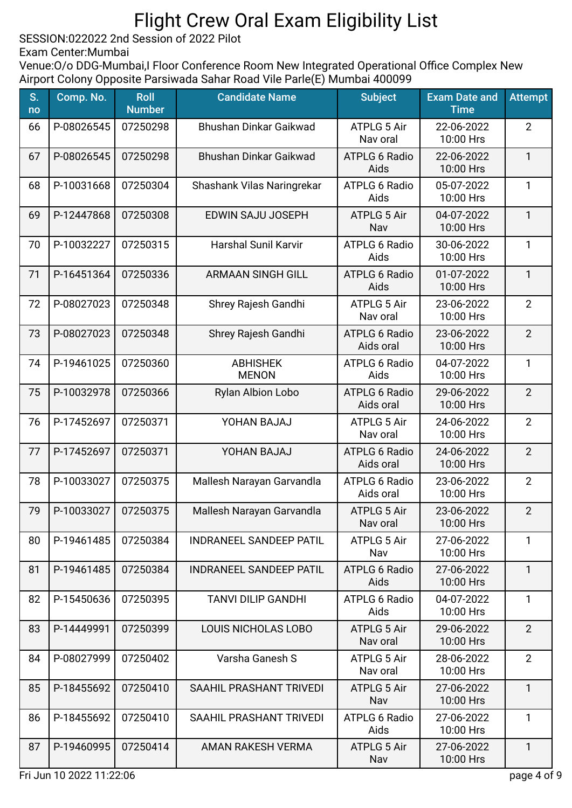SESSION:022022 2nd Session of 2022 Pilot

Exam Center:Mumbai

Venue: O/o DDG-Mumbai, I Floor Conference Room New Integrated Operational Office Complex New Airport Colony Opposite Parsiwada Sahar Road Vile Parle(E) Mumbai 400099

| S.<br>no | Comp. No.  | <b>Roll</b><br><b>Number</b> | <b>Candidate Name</b>           | <b>Subject</b>                    | <b>Exam Date and</b><br><b>Time</b> | <b>Attempt</b> |
|----------|------------|------------------------------|---------------------------------|-----------------------------------|-------------------------------------|----------------|
| 66       | P-08026545 | 07250298                     | Bhushan Dinkar Gaikwad          | <b>ATPLG 5 Air</b><br>Nav oral    | 22-06-2022<br>10:00 Hrs             | $\overline{2}$ |
| 67       | P-08026545 | 07250298                     | <b>Bhushan Dinkar Gaikwad</b>   | <b>ATPLG 6 Radio</b><br>Aids      | 22-06-2022<br>10:00 Hrs             | $\mathbf{1}$   |
| 68       | P-10031668 | 07250304                     | Shashank Vilas Naringrekar      | <b>ATPLG 6 Radio</b><br>Aids      | 05-07-2022<br>10:00 Hrs             | $\mathbf{1}$   |
| 69       | P-12447868 | 07250308                     | EDWIN SAJU JOSEPH               | <b>ATPLG 5 Air</b><br>Nav         | 04-07-2022<br>10:00 Hrs             | $\mathbf{1}$   |
| 70       | P-10032227 | 07250315                     | <b>Harshal Sunil Karvir</b>     | <b>ATPLG 6 Radio</b><br>Aids      | 30-06-2022<br>10:00 Hrs             | $\mathbf{1}$   |
| 71       | P-16451364 | 07250336                     | <b>ARMAAN SINGH GILL</b>        | <b>ATPLG 6 Radio</b><br>Aids      | 01-07-2022<br>10:00 Hrs             | $\mathbf{1}$   |
| 72       | P-08027023 | 07250348                     | Shrey Rajesh Gandhi             | <b>ATPLG 5 Air</b><br>Nav oral    | 23-06-2022<br>10:00 Hrs             | $\overline{2}$ |
| 73       | P-08027023 | 07250348                     | Shrey Rajesh Gandhi             | <b>ATPLG 6 Radio</b><br>Aids oral | 23-06-2022<br>10:00 Hrs             | $\overline{2}$ |
| 74       | P-19461025 | 07250360                     | <b>ABHISHEK</b><br><b>MENON</b> | <b>ATPLG 6 Radio</b><br>Aids      | 04-07-2022<br>10:00 Hrs             | $\mathbf{1}$   |
| 75       | P-10032978 | 07250366                     | Rylan Albion Lobo               | <b>ATPLG 6 Radio</b><br>Aids oral | 29-06-2022<br>10:00 Hrs             | $\overline{2}$ |
| 76       | P-17452697 | 07250371                     | YOHAN BAJAJ                     | <b>ATPLG 5 Air</b><br>Nav oral    | 24-06-2022<br>10:00 Hrs             | $\overline{2}$ |
| 77       | P-17452697 | 07250371                     | YOHAN BAJAJ                     | <b>ATPLG 6 Radio</b><br>Aids oral | 24-06-2022<br>10:00 Hrs             | $\overline{2}$ |
| 78       | P-10033027 | 07250375                     | Mallesh Narayan Garvandla       | <b>ATPLG 6 Radio</b><br>Aids oral | 23-06-2022<br>10:00 Hrs             | $\overline{2}$ |
| 79       | P-10033027 | 07250375                     | Mallesh Narayan Garvandla       | <b>ATPLG 5 Air</b><br>Nav oral    | 23-06-2022<br>10:00 Hrs             | $\overline{2}$ |
| 80       | P-19461485 | 07250384                     | <b>INDRANEEL SANDEEP PATIL</b>  | <b>ATPLG 5 Air</b><br>Nav         | 27-06-2022<br>10:00 Hrs             | 1              |
| 81       | P-19461485 | 07250384                     | <b>INDRANEEL SANDEEP PATIL</b>  | <b>ATPLG 6 Radio</b><br>Aids      | 27-06-2022<br>10:00 Hrs             | $\mathbf{1}$   |
| 82       | P-15450636 | 07250395                     | <b>TANVI DILIP GANDHI</b>       | <b>ATPLG 6 Radio</b><br>Aids      | 04-07-2022<br>10:00 Hrs             | $\mathbf{1}$   |
| 83       | P-14449991 | 07250399                     | <b>LOUIS NICHOLAS LOBO</b>      | <b>ATPLG 5 Air</b><br>Nav oral    | 29-06-2022<br>10:00 Hrs             | 2              |
| 84       | P-08027999 | 07250402                     | Varsha Ganesh S                 | <b>ATPLG 5 Air</b><br>Nav oral    | 28-06-2022<br>10:00 Hrs             | $\overline{2}$ |
| 85       | P-18455692 | 07250410                     | SAAHIL PRASHANT TRIVEDI         | <b>ATPLG 5 Air</b><br>Nav         | 27-06-2022<br>10:00 Hrs             | $\mathbf{1}$   |
| 86       | P-18455692 | 07250410                     | SAAHIL PRASHANT TRIVEDI         | <b>ATPLG 6 Radio</b><br>Aids      | 27-06-2022<br>10:00 Hrs             | 1              |
| 87       | P-19460995 | 07250414                     | AMAN RAKESH VERMA               | <b>ATPLG 5 Air</b><br>Nav         | 27-06-2022<br>10:00 Hrs             | $\mathbf{1}$   |

Fri Jun 10 2022 11:22:06 page 4 of 9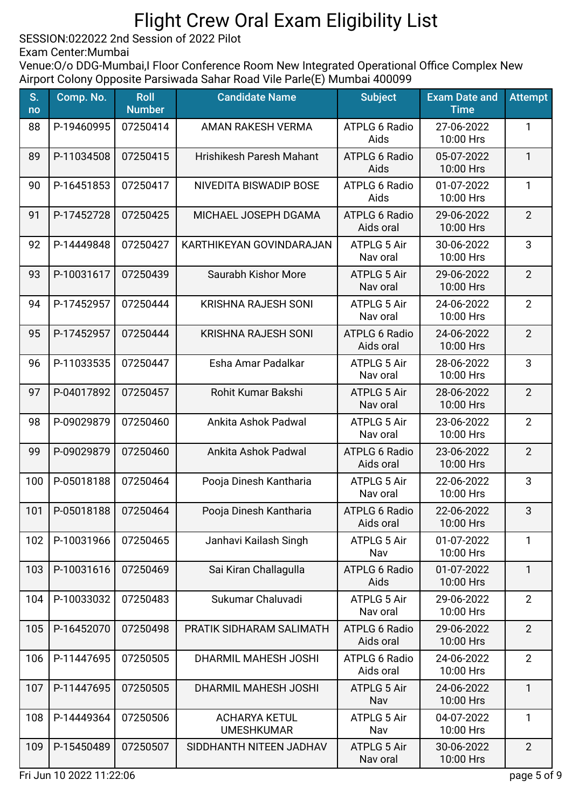SESSION:022022 2nd Session of 2022 Pilot

Exam Center:Mumbai

Venue: O/o DDG-Mumbai, I Floor Conference Room New Integrated Operational Office Complex New Airport Colony Opposite Parsiwada Sahar Road Vile Parle(E) Mumbai 400099

| S.<br>no | Comp. No.  | <b>Roll</b><br><b>Number</b> | <b>Candidate Name</b>                     | <b>Subject</b>                    | <b>Exam Date and</b><br><b>Time</b> | <b>Attempt</b> |
|----------|------------|------------------------------|-------------------------------------------|-----------------------------------|-------------------------------------|----------------|
| 88       | P-19460995 | 07250414                     | <b>AMAN RAKESH VERMA</b>                  | <b>ATPLG 6 Radio</b><br>Aids      | 27-06-2022<br>10:00 Hrs             | 1              |
| 89       | P-11034508 | 07250415                     | <b>Hrishikesh Paresh Mahant</b>           | <b>ATPLG 6 Radio</b><br>Aids      | 05-07-2022<br>10:00 Hrs             | $\mathbf{1}$   |
| 90       | P-16451853 | 07250417                     | NIVEDITA BISWADIP BOSE                    | ATPLG 6 Radio<br>Aids             | 01-07-2022<br>10:00 Hrs             | $\mathbf{1}$   |
| 91       | P-17452728 | 07250425                     | MICHAEL JOSEPH DGAMA                      | <b>ATPLG 6 Radio</b><br>Aids oral | 29-06-2022<br>10:00 Hrs             | $\overline{2}$ |
| 92       | P-14449848 | 07250427                     | KARTHIKEYAN GOVINDARAJAN                  | <b>ATPLG 5 Air</b><br>Nav oral    | 30-06-2022<br>10:00 Hrs             | 3              |
| 93       | P-10031617 | 07250439                     | Saurabh Kishor More                       | <b>ATPLG 5 Air</b><br>Nav oral    | 29-06-2022<br>10:00 Hrs             | $\overline{2}$ |
| 94       | P-17452957 | 07250444                     | <b>KRISHNA RAJESH SONI</b>                | <b>ATPLG 5 Air</b><br>Nav oral    | 24-06-2022<br>10:00 Hrs             | $\overline{2}$ |
| 95       | P-17452957 | 07250444                     | <b>KRISHNA RAJESH SONI</b>                | <b>ATPLG 6 Radio</b><br>Aids oral | 24-06-2022<br>10:00 Hrs             | $\overline{2}$ |
| 96       | P-11033535 | 07250447                     | Esha Amar Padalkar                        | <b>ATPLG 5 Air</b><br>Nav oral    | 28-06-2022<br>10:00 Hrs             | 3              |
| 97       | P-04017892 | 07250457                     | Rohit Kumar Bakshi                        | <b>ATPLG 5 Air</b><br>Nav oral    | 28-06-2022<br>10:00 Hrs             | $\overline{2}$ |
| 98       | P-09029879 | 07250460                     | Ankita Ashok Padwal                       | ATPLG 5 Air<br>Nav oral           | 23-06-2022<br>10:00 Hrs             | $\overline{2}$ |
| 99       | P-09029879 | 07250460                     | Ankita Ashok Padwal                       | <b>ATPLG 6 Radio</b><br>Aids oral | 23-06-2022<br>10:00 Hrs             | $\overline{2}$ |
| 100      | P-05018188 | 07250464                     | Pooja Dinesh Kantharia                    | <b>ATPLG 5 Air</b><br>Nav oral    | 22-06-2022<br>10:00 Hrs             | 3              |
| 101      | P-05018188 | 07250464                     | Pooja Dinesh Kantharia                    | <b>ATPLG 6 Radio</b><br>Aids oral | 22-06-2022<br>10:00 Hrs             | 3              |
| 102      | P-10031966 | 07250465                     | Janhavi Kailash Singh                     | <b>ATPLG 5 Air</b><br>Nav         | 01-07-2022<br>10:00 Hrs             | 1              |
| 103      | P-10031616 | 07250469                     | Sai Kiran Challagulla                     | <b>ATPLG 6 Radio</b><br>Aids      | 01-07-2022<br>10:00 Hrs             | $\mathbf{1}$   |
| 104      | P-10033032 | 07250483                     | Sukumar Chaluvadi                         | <b>ATPLG 5 Air</b><br>Nav oral    | 29-06-2022<br>10:00 Hrs             | $\overline{2}$ |
| 105      | P-16452070 | 07250498                     | PRATIK SIDHARAM SALIMATH                  | <b>ATPLG 6 Radio</b><br>Aids oral | 29-06-2022<br>10:00 Hrs             | $\overline{2}$ |
| 106      | P-11447695 | 07250505                     | DHARMIL MAHESH JOSHI                      | <b>ATPLG 6 Radio</b><br>Aids oral | 24-06-2022<br>10:00 Hrs             | $\overline{2}$ |
| 107      | P-11447695 | 07250505                     | DHARMIL MAHESH JOSHI                      | <b>ATPLG 5 Air</b><br>Nav         | 24-06-2022<br>10:00 Hrs             | $\mathbf{1}$   |
| 108      | P-14449364 | 07250506                     | <b>ACHARYA KETUL</b><br><b>UMESHKUMAR</b> | <b>ATPLG 5 Air</b><br>Nav         | 04-07-2022<br>10:00 Hrs             | $\mathbf{1}$   |
| 109      | P-15450489 | 07250507                     | SIDDHANTH NITEEN JADHAV                   | <b>ATPLG 5 Air</b><br>Nav oral    | 30-06-2022<br>10:00 Hrs             | $\overline{2}$ |

Fri Jun 10 2022 11:22:06 page 5 of 9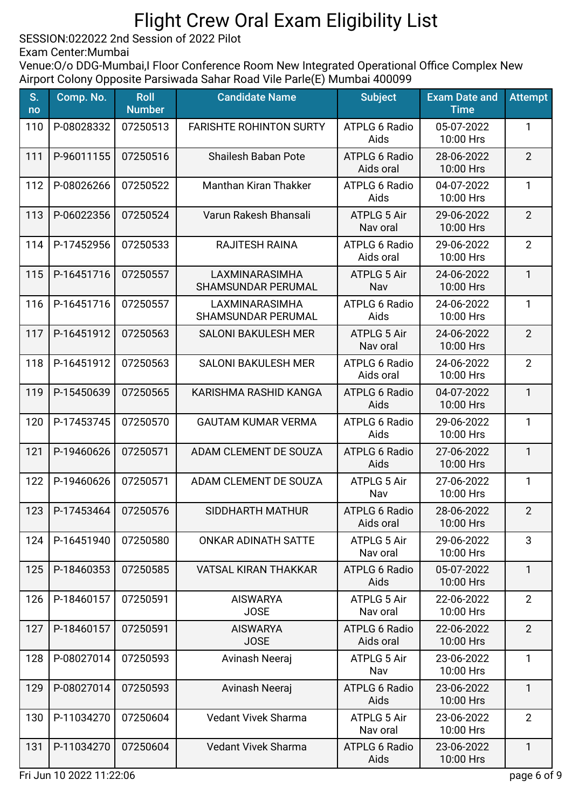SESSION:022022 2nd Session of 2022 Pilot

Exam Center:Mumbai

Venue: O/o DDG-Mumbai, I Floor Conference Room New Integrated Operational Office Complex New Airport Colony Opposite Parsiwada Sahar Road Vile Parle(E) Mumbai 400099

| S.<br>no | Comp. No.  | <b>Roll</b><br><b>Number</b> | <b>Candidate Name</b>                       | <b>Subject</b>                    | <b>Exam Date and</b><br><b>Time</b> | <b>Attempt</b> |
|----------|------------|------------------------------|---------------------------------------------|-----------------------------------|-------------------------------------|----------------|
| 110      | P-08028332 | 07250513                     | <b>FARISHTE ROHINTON SURTY</b>              | <b>ATPLG 6 Radio</b><br>Aids      | 05-07-2022<br>10:00 Hrs             | 1              |
| 111      | P-96011155 | 07250516                     | <b>Shailesh Baban Pote</b>                  | <b>ATPLG 6 Radio</b><br>Aids oral | 28-06-2022<br>10:00 Hrs             | $\overline{2}$ |
| 112      | P-08026266 | 07250522                     | Manthan Kiran Thakker                       | <b>ATPLG 6 Radio</b><br>Aids      | 04-07-2022<br>10:00 Hrs             | $\mathbf{1}$   |
| 113      | P-06022356 | 07250524                     | Varun Rakesh Bhansali                       | <b>ATPLG 5 Air</b><br>Nav oral    | 29-06-2022<br>10:00 Hrs             | $\overline{2}$ |
| 114      | P-17452956 | 07250533                     | <b>RAJITESH RAINA</b>                       | <b>ATPLG 6 Radio</b><br>Aids oral | 29-06-2022<br>10:00 Hrs             | $\overline{2}$ |
| 115      | P-16451716 | 07250557                     | LAXMINARASIMHA<br><b>SHAMSUNDAR PERUMAL</b> | <b>ATPLG 5 Air</b><br>Nav         | 24-06-2022<br>10:00 Hrs             | $\mathbf{1}$   |
| 116      | P-16451716 | 07250557                     | LAXMINARASIMHA<br>SHAMSUNDAR PERUMAL        | <b>ATPLG 6 Radio</b><br>Aids      | 24-06-2022<br>10:00 Hrs             | 1              |
| 117      | P-16451912 | 07250563                     | <b>SALONI BAKULESH MER</b>                  | <b>ATPLG 5 Air</b><br>Nav oral    | 24-06-2022<br>10:00 Hrs             | $\overline{2}$ |
| 118      | P-16451912 | 07250563                     | <b>SALONI BAKULESH MER</b>                  | <b>ATPLG 6 Radio</b><br>Aids oral | 24-06-2022<br>10:00 Hrs             | $\overline{2}$ |
| 119      | P-15450639 | 07250565                     | KARISHMA RASHID KANGA                       | <b>ATPLG 6 Radio</b><br>Aids      | 04-07-2022<br>10:00 Hrs             | $\mathbf{1}$   |
| 120      | P-17453745 | 07250570                     | <b>GAUTAM KUMAR VERMA</b>                   | <b>ATPLG 6 Radio</b><br>Aids      | 29-06-2022<br>10:00 Hrs             | $\mathbf{1}$   |
| 121      | P-19460626 | 07250571                     | ADAM CLEMENT DE SOUZA                       | <b>ATPLG 6 Radio</b><br>Aids      | 27-06-2022<br>10:00 Hrs             | $\mathbf{1}$   |
| 122      | P-19460626 | 07250571                     | ADAM CLEMENT DE SOUZA                       | <b>ATPLG 5 Air</b><br>Nav         | 27-06-2022<br>10:00 Hrs             | $\mathbf{1}$   |
| 123      | P-17453464 | 07250576                     | SIDDHARTH MATHUR                            | <b>ATPLG 6 Radio</b><br>Aids oral | 28-06-2022<br>10:00 Hrs             | $\overline{2}$ |
| 124      | P-16451940 | 07250580                     | ONKAR ADINATH SATTE                         | <b>ATPLG 5 Air</b><br>Nav oral    | 29-06-2022<br>10:00 Hrs             | 3              |
| 125      | P-18460353 | 07250585                     | <b>VATSAL KIRAN THAKKAR</b>                 | <b>ATPLG 6 Radio</b><br>Aids      | 05-07-2022<br>10:00 Hrs             | $\mathbf{1}$   |
| 126      | P-18460157 | 07250591                     | <b>AISWARYA</b><br><b>JOSE</b>              | <b>ATPLG 5 Air</b><br>Nav oral    | 22-06-2022<br>10:00 Hrs             | $\overline{2}$ |
| 127      | P-18460157 | 07250591                     | <b>AISWARYA</b><br><b>JOSE</b>              | <b>ATPLG 6 Radio</b><br>Aids oral | 22-06-2022<br>10:00 Hrs             | $\overline{2}$ |
| 128      | P-08027014 | 07250593                     | Avinash Neeraj                              | <b>ATPLG 5 Air</b><br>Nav         | 23-06-2022<br>10:00 Hrs             | $\mathbf{1}$   |
| 129      | P-08027014 | 07250593                     | Avinash Neeraj                              | <b>ATPLG 6 Radio</b><br>Aids      | 23-06-2022<br>10:00 Hrs             | $\mathbf{1}$   |
| 130      | P-11034270 | 07250604                     | Vedant Vivek Sharma                         | <b>ATPLG 5 Air</b><br>Nav oral    | 23-06-2022<br>10:00 Hrs             | $\overline{2}$ |
| 131      | P-11034270 | 07250604                     | <b>Vedant Vivek Sharma</b>                  | <b>ATPLG 6 Radio</b><br>Aids      | 23-06-2022<br>10:00 Hrs             | 1              |

Fri Jun 10 2022 11:22:06 page 6 of 9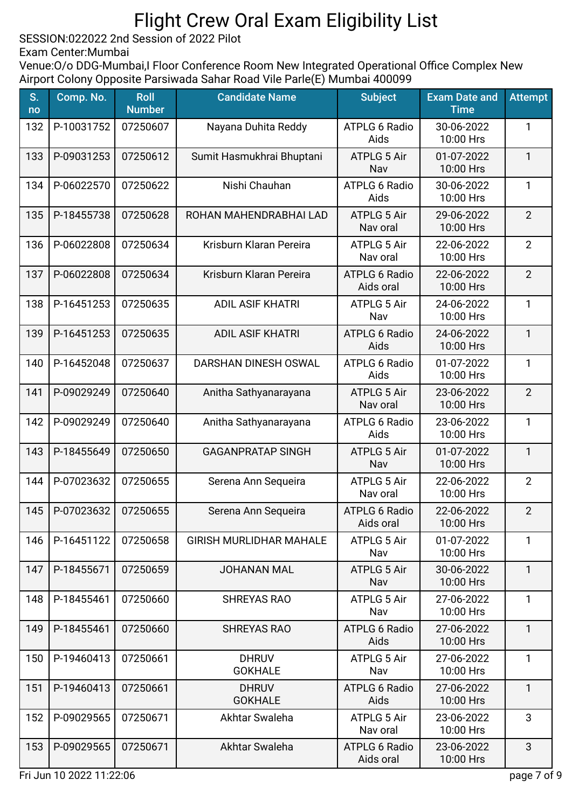SESSION:022022 2nd Session of 2022 Pilot

Exam Center:Mumbai

Venue: O/o DDG-Mumbai, I Floor Conference Room New Integrated Operational Office Complex New Airport Colony Opposite Parsiwada Sahar Road Vile Parle(E) Mumbai 400099

| S.<br>no | Comp. No.  | <b>Roll</b><br><b>Number</b> | <b>Candidate Name</b>          | <b>Subject</b>                    | <b>Exam Date and</b><br><b>Time</b> | <b>Attempt</b> |
|----------|------------|------------------------------|--------------------------------|-----------------------------------|-------------------------------------|----------------|
| 132      | P-10031752 | 07250607                     | Nayana Duhita Reddy            | <b>ATPLG 6 Radio</b><br>Aids      | 30-06-2022<br>10:00 Hrs             | 1              |
| 133      | P-09031253 | 07250612                     | Sumit Hasmukhrai Bhuptani      | <b>ATPLG 5 Air</b><br>Nav         | 01-07-2022<br>10:00 Hrs             | $\mathbf{1}$   |
| 134      | P-06022570 | 07250622                     | Nishi Chauhan                  | <b>ATPLG 6 Radio</b><br>Aids      | 30-06-2022<br>10:00 Hrs             | $\mathbf{1}$   |
| 135      | P-18455738 | 07250628                     | ROHAN MAHENDRABHAI LAD         | <b>ATPLG 5 Air</b><br>Nav oral    | 29-06-2022<br>10:00 Hrs             | $\overline{2}$ |
| 136      | P-06022808 | 07250634                     | Krisburn Klaran Pereira        | <b>ATPLG 5 Air</b><br>Nav oral    | 22-06-2022<br>10:00 Hrs             | $\overline{2}$ |
| 137      | P-06022808 | 07250634                     | Krisburn Klaran Pereira        | <b>ATPLG 6 Radio</b><br>Aids oral | 22-06-2022<br>10:00 Hrs             | $\overline{2}$ |
| 138      | P-16451253 | 07250635                     | <b>ADIL ASIF KHATRI</b>        | <b>ATPLG 5 Air</b><br>Nav         | 24-06-2022<br>10:00 Hrs             | 1              |
| 139      | P-16451253 | 07250635                     | <b>ADIL ASIF KHATRI</b>        | <b>ATPLG 6 Radio</b><br>Aids      | 24-06-2022<br>10:00 Hrs             | $\mathbf{1}$   |
| 140      | P-16452048 | 07250637                     | DARSHAN DINESH OSWAL           | <b>ATPLG 6 Radio</b><br>Aids      | 01-07-2022<br>10:00 Hrs             | $\mathbf{1}$   |
| 141      | P-09029249 | 07250640                     | Anitha Sathyanarayana          | ATPLG 5 Air<br>Nav oral           | 23-06-2022<br>10:00 Hrs             | $\overline{2}$ |
| 142      | P-09029249 | 07250640                     | Anitha Sathyanarayana          | <b>ATPLG 6 Radio</b><br>Aids      | 23-06-2022<br>10:00 Hrs             | $\mathbf{1}$   |
| 143      | P-18455649 | 07250650                     | <b>GAGANPRATAP SINGH</b>       | <b>ATPLG 5 Air</b><br>Nav         | 01-07-2022<br>10:00 Hrs             | $\mathbf{1}$   |
| 144      | P-07023632 | 07250655                     | Serena Ann Sequeira            | ATPLG 5 Air<br>Nav oral           | 22-06-2022<br>10:00 Hrs             | $\overline{2}$ |
| 145      | P-07023632 | 07250655                     | Serena Ann Sequeira            | <b>ATPLG 6 Radio</b><br>Aids oral | 22-06-2022<br>10:00 Hrs             | $\overline{2}$ |
| 146      | P-16451122 | 07250658                     | <b>GIRISH MURLIDHAR MAHALE</b> | <b>ATPLG 5 Air</b><br>Nav         | 01-07-2022<br>10:00 Hrs             | 1              |
| 147      | P-18455671 | 07250659                     | <b>JOHANAN MAL</b>             | <b>ATPLG 5 Air</b><br>Nav         | 30-06-2022<br>10:00 Hrs             | $\mathbf{1}$   |
| 148      | P-18455461 | 07250660                     | <b>SHREYAS RAO</b>             | <b>ATPLG 5 Air</b><br>Nav         | 27-06-2022<br>10:00 Hrs             | $\mathbf{1}$   |
| 149      | P-18455461 | 07250660                     | <b>SHREYAS RAO</b>             | <b>ATPLG 6 Radio</b><br>Aids      | 27-06-2022<br>10:00 Hrs             | $\mathbf{1}$   |
| 150      | P-19460413 | 07250661                     | <b>DHRUV</b><br><b>GOKHALE</b> | <b>ATPLG 5 Air</b><br>Nav         | 27-06-2022<br>10:00 Hrs             | $\mathbf{1}$   |
| 151      | P-19460413 | 07250661                     | <b>DHRUV</b><br><b>GOKHALE</b> | <b>ATPLG 6 Radio</b><br>Aids      | 27-06-2022<br>10:00 Hrs             | $\mathbf{1}$   |
| 152      | P-09029565 | 07250671                     | Akhtar Swaleha                 | <b>ATPLG 5 Air</b><br>Nav oral    | 23-06-2022<br>10:00 Hrs             | 3              |
| 153      | P-09029565 | 07250671                     | Akhtar Swaleha                 | <b>ATPLG 6 Radio</b><br>Aids oral | 23-06-2022<br>10:00 Hrs             | 3              |

Fri Jun 10 2022 11:22:06 page 7 of 9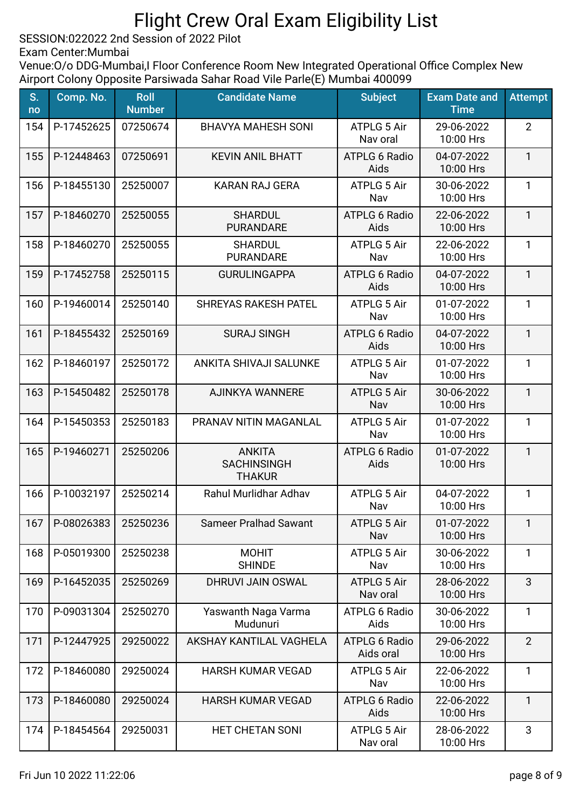SESSION:022022 2nd Session of 2022 Pilot

Exam Center:Mumbai

| S.<br>no | Comp. No.  | <b>Roll</b><br><b>Number</b> | <b>Candidate Name</b>                                | <b>Subject</b>                    | <b>Exam Date and</b><br><b>Time</b> | <b>Attempt</b> |
|----------|------------|------------------------------|------------------------------------------------------|-----------------------------------|-------------------------------------|----------------|
| 154      | P-17452625 | 07250674                     | <b>BHAVYA MAHESH SONI</b>                            | <b>ATPLG 5 Air</b><br>Nav oral    | 29-06-2022<br>10:00 Hrs             | $\overline{2}$ |
| 155      | P-12448463 | 07250691                     | <b>KEVIN ANIL BHATT</b>                              | <b>ATPLG 6 Radio</b><br>Aids      | 04-07-2022<br>10:00 Hrs             | $\mathbf{1}$   |
| 156      | P-18455130 | 25250007                     | <b>KARAN RAJ GERA</b>                                | <b>ATPLG 5 Air</b><br>Nav         | 30-06-2022<br>10:00 Hrs             | $\mathbf{1}$   |
| 157      | P-18460270 | 25250055                     | <b>SHARDUL</b><br><b>PURANDARE</b>                   | <b>ATPLG 6 Radio</b><br>Aids      | 22-06-2022<br>10:00 Hrs             | $\mathbf{1}$   |
| 158      | P-18460270 | 25250055                     | <b>SHARDUL</b><br><b>PURANDARE</b>                   | <b>ATPLG 5 Air</b><br>Nav         | 22-06-2022<br>10:00 Hrs             | $\mathbf{1}$   |
| 159      | P-17452758 | 25250115                     | <b>GURULINGAPPA</b>                                  | <b>ATPLG 6 Radio</b><br>Aids      | 04-07-2022<br>10:00 Hrs             | $\mathbf{1}$   |
| 160      | P-19460014 | 25250140                     | <b>SHREYAS RAKESH PATEL</b>                          | <b>ATPLG 5 Air</b><br>Nav         | 01-07-2022<br>10:00 Hrs             | 1              |
| 161      | P-18455432 | 25250169                     | <b>SURAJ SINGH</b>                                   | <b>ATPLG 6 Radio</b><br>Aids      | 04-07-2022<br>10:00 Hrs             | $\mathbf{1}$   |
| 162      | P-18460197 | 25250172                     | ANKITA SHIVAJI SALUNKE                               | <b>ATPLG 5 Air</b><br>Nav         | 01-07-2022<br>10:00 Hrs             | $\mathbf{1}$   |
| 163      | P-15450482 | 25250178                     | AJINKYA WANNERE                                      | <b>ATPLG 5 Air</b><br>Nav         | 30-06-2022<br>10:00 Hrs             | $\mathbf{1}$   |
| 164      | P-15450353 | 25250183                     | PRANAV NITIN MAGANLAL                                | <b>ATPLG 5 Air</b><br>Nav         | 01-07-2022<br>10:00 Hrs             | $\mathbf{1}$   |
| 165      | P-19460271 | 25250206                     | <b>ANKITA</b><br><b>SACHINSINGH</b><br><b>THAKUR</b> | <b>ATPLG 6 Radio</b><br>Aids      | 01-07-2022<br>10:00 Hrs             | $\mathbf{1}$   |
| 166      | P-10032197 | 25250214                     | <b>Rahul Murlidhar Adhav</b>                         | <b>ATPLG 5 Air</b><br>Nav         | 04-07-2022<br>10:00 Hrs             | $\mathbf{1}$   |
| 167      | P-08026383 | 25250236                     | <b>Sameer Pralhad Sawant</b>                         | <b>ATPLG 5 Air</b><br>Nav         | 01-07-2022<br>10:00 Hrs             | 1              |
| 168      | P-05019300 | 25250238                     | <b>MOHIT</b><br><b>SHINDE</b>                        | <b>ATPLG 5 Air</b><br>Nav         | 30-06-2022<br>10:00 Hrs             | 1              |
| 169      | P-16452035 | 25250269                     | DHRUVI JAIN OSWAL                                    | <b>ATPLG 5 Air</b><br>Nav oral    | 28-06-2022<br>10:00 Hrs             | 3              |
| 170      | P-09031304 | 25250270                     | Yaswanth Naga Varma<br>Mudunuri                      | <b>ATPLG 6 Radio</b><br>Aids      | 30-06-2022<br>10:00 Hrs             | $\mathbf{1}$   |
| 171      | P-12447925 | 29250022                     | AKSHAY KANTILAL VAGHELA                              | <b>ATPLG 6 Radio</b><br>Aids oral | 29-06-2022<br>10:00 Hrs             | $\overline{2}$ |
| 172      | P-18460080 | 29250024                     | <b>HARSH KUMAR VEGAD</b>                             | <b>ATPLG 5 Air</b><br>Nav         | 22-06-2022<br>10:00 Hrs             | $\mathbf{1}$   |
| 173      | P-18460080 | 29250024                     | <b>HARSH KUMAR VEGAD</b>                             | <b>ATPLG 6 Radio</b><br>Aids      | 22-06-2022<br>10:00 Hrs             | $\mathbf{1}$   |
| 174      | P-18454564 | 29250031                     | HET CHETAN SONI                                      | <b>ATPLG 5 Air</b><br>Nav oral    | 28-06-2022<br>10:00 Hrs             | 3              |